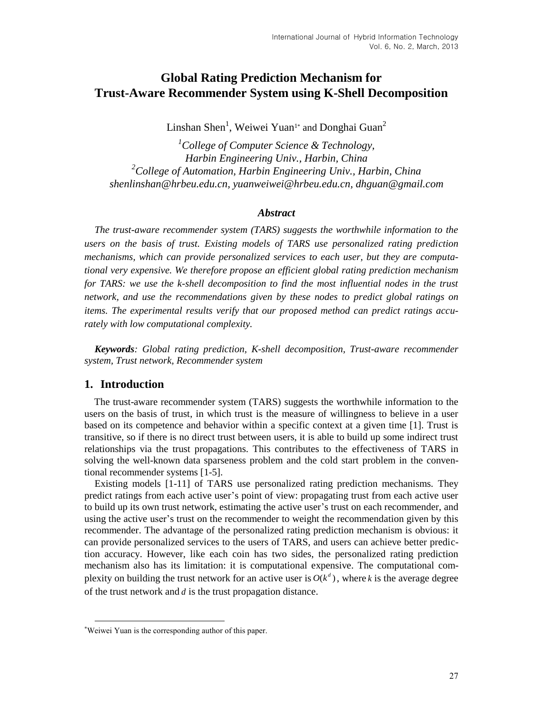# **Global Rating Prediction Mechanism for Trust-Aware Recommender System using K-Shell Decomposition**

Linshan Shen<sup>1</sup>, Weiwei Yuan<sup>1\*</sup> and Donghai Guan<sup>2</sup>

*<sup>1</sup>College of Computer Science & Technology, Harbin Engineering Univ., Harbin, China <sup>2</sup>College of Automation, Harbin Engineering Univ., Harbin, China shenlinshan@hrbeu.edu.cn, yuanweiwei@hrbeu.edu.cn, dhguan@gmail.com*

#### *Abstract*

*The trust-aware recommender system (TARS) suggests the worthwhile information to the users on the basis of trust. Existing models of TARS use personalized rating prediction mechanisms, which can provide personalized services to each user, but they are computational very expensive. We therefore propose an efficient global rating prediction mechanism for TARS: we use the k-shell decomposition to find the most influential nodes in the trust network, and use the recommendations given by these nodes to predict global ratings on items. The experimental results verify that our proposed method can predict ratings accurately with low computational complexity.*

*Keywords: Global rating prediction, K-shell decomposition, Trust-aware recommender system, Trust network, Recommender system*

#### **1. Introduction**

 $\overline{a}$ 

The trust-aware recommender system (TARS) suggests the worthwhile information to the users on the basis of trust, in which trust is the measure of willingness to believe in a user based on its competence and behavior within a specific context at a given time [1]. Trust is transitive, so if there is no direct trust between users, it is able to build up some indirect trust relationships via the trust propagations. This contributes to the effectiveness of TARS in solving the well-known data sparseness problem and the cold start problem in the conventional recommender systems [1-5].

Existing models [1-11] of TARS use personalized rating prediction mechanisms. They predict ratings from each active user's point of view: propagating trust from each active user to build up its own trust network, estimating the active user's trust on each recommender, and using the active user's trust on the recommender to weight the recommendation given by this recommender. The advantage of the personalized rating prediction mechanism is obvious: it can provide personalized services to the users of TARS, and users can achieve better prediction accuracy. However, like each coin has two sides, the personalized rating prediction mechanism also has its limitation: it is computational expensive. The computational complexity on building the trust network for an active user is  $O(k^d)$ , where k is the average degree of the trust network and *d* is the trust propagation distance.

<sup>\*</sup>Weiwei Yuan is the corresponding author of this paper.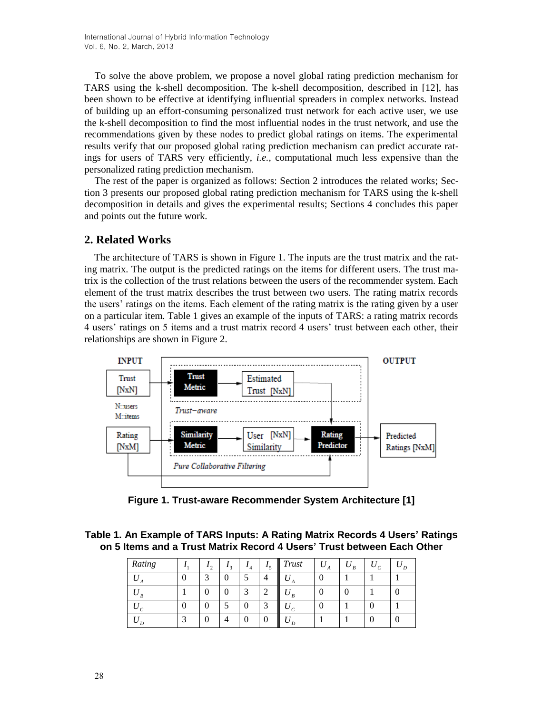To solve the above problem, we propose a novel global rating prediction mechanism for TARS using the k-shell decomposition. The k-shell decomposition, described in [12], has been shown to be effective at identifying influential spreaders in complex networks. Instead of building up an effort-consuming personalized trust network for each active user, we use the k-shell decomposition to find the most influential nodes in the trust network, and use the recommendations given by these nodes to predict global ratings on items. The experimental results verify that our proposed global rating prediction mechanism can predict accurate ratings for users of TARS very efficiently, *i.e.*, computational much less expensive than the personalized rating prediction mechanism.

The rest of the paper is organized as follows: Section 2 introduces the related works; Section 3 presents our proposed global rating prediction mechanism for TARS using the k-shell decomposition in details and gives the experimental results; Sections 4 concludes this paper and points out the future work.

## **2. Related Works**

The architecture of TARS is shown in Figure 1. The inputs are the trust matrix and the rating matrix. The output is the predicted ratings on the items for different users. The trust matrix is the collection of the trust relations between the users of the recommender system. Each element of the trust matrix describes the trust between two users. The rating matrix records the users' ratings on the items. Each element of the rating matrix is the rating given by a user on a particular item. Table 1 gives an example of the inputs of TARS: a rating matrix records 4 users' ratings on 5 items and a trust matrix record 4 users' trust between each other, their relationships are shown in Figure 2.



**Figure 1. Trust-aware Recommender System Architecture [1]**

**Table 1. An Example of TARS Inputs: A Rating Matrix Records 4 Users' Ratings on 5 Items and a Trust Matrix Record 4 Users' Trust between Each Other**

| Rating | $\sim$ | $\bullet$ $\circ$ |   |        | Trust | A |  |   |
|--------|--------|-------------------|---|--------|-------|---|--|---|
|        |        |                   |   |        |       |   |  |   |
|        |        |                   | ⌒ | $\sim$ |       |   |  |   |
|        |        |                   |   | $\sim$ |       |   |  |   |
|        |        |                   |   |        |       |   |  | U |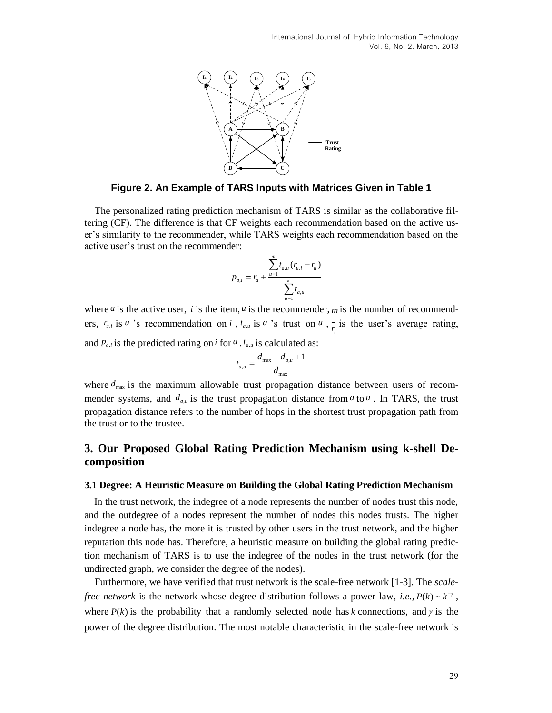

**Figure 2. An Example of TARS Inputs with Matrices Given in Table 1**

The personalized rating prediction mechanism of TARS is similar as the collaborative filtering (CF). The difference is that CF weights each recommendation based on the active user's similarity to the recommender, while TARS weights each recommendation based on the active user's trust on the recommender:

$$
p_{a,i} = \frac{\sum_{u=1}^{m} t_{a,u} (r_{u,i} - \overline{r_u})}{\sum_{u=1}^{k} t_{a,u}}
$$

where *a* is the active user, *i* is the item, *u* is the recommender, *m* is the number of recommenders,  $r_{u,i}$  is *u* 's recommendation on *i*,  $t_{a,u}$  is *a* 's trust on *u*,  $\frac{1}{r}$  is the user's average rating, and  $p_{a,i}$  is the predicted rating on *i* for *a* .  $t_{a,u}$  is calculated as:

$$
t_{a,u} = \frac{d_{\max} - d_{a,u} + 1}{d_{\max}}
$$

where  $d_{\text{max}}$  is the maximum allowable trust propagation distance between users of recommender systems, and  $d_{a,u}$  is the trust propagation distance from  $a$  to  $u$ . In TARS, the trust propagation distance refers to the number of hops in the shortest trust propagation path from the trust or to the trustee.

## **3. Our Proposed Global Rating Prediction Mechanism using k-shell Decomposition**

#### **3.1 Degree: A Heuristic Measure on Building the Global Rating Prediction Mechanism**

In the trust network, the indegree of a node represents the number of nodes trust this node, and the outdegree of a nodes represent the number of nodes this nodes trusts. The higher indegree a node has, the more it is trusted by other users in the trust network, and the higher reputation this node has. Therefore, a heuristic measure on building the global rating prediction mechanism of TARS is to use the indegree of the nodes in the trust network (for the undirected graph, we consider the degree of the nodes).

Furthermore, we have verified that trust network is the scale-free network [1-3]. The *scalefree network* is the network whose degree distribution follows a power law, *i.e.*,  $P(k) \sim k^{-\gamma}$ , where  $P(k)$  is the probability that a randomly selected node has *k* connections, and  $\gamma$  is the power of the degree distribution. The most notable characteristic in the scale-free network is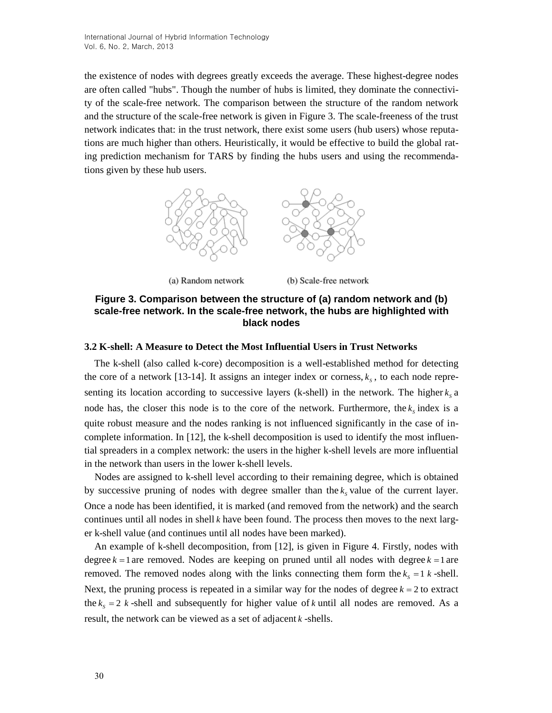the existence of nodes with degrees greatly exceeds the average. These highest-degree nodes are often called "hubs". Though the number of hubs is limited, they dominate the connectivity of the scale-free network. The comparison between the structure of the random network and the structure of the scale-free network is given in Figure 3. The scale-freeness of the trust network indicates that: in the trust network, there exist some users (hub users) whose reputations are much higher than others. Heuristically, it would be effective to build the global rating prediction mechanism for TARS by finding the hubs users and using the recommendations given by these hub users.



(a) Random network

(b) Scale-free network

## **Figure 3. Comparison between the structure of (a) random network and (b) scale-free network. In the scale-free network, the hubs are highlighted with black nodes**

### **3.2 K-shell: A Measure to Detect the Most Influential Users in Trust Networks**

The k-shell (also called k-core) decomposition is a well-established method for detecting the core of a network [13-14]. It assigns an integer index or corness,  $k_s$ , to each node representing its location according to successive layers (k-shell) in the network. The higher  $k_s$  a node has, the closer this node is to the core of the network. Furthermore, the  $k_s$  index is a quite robust measure and the nodes ranking is not influenced significantly in the case of incomplete information. In [12], the k-shell decomposition is used to identify the most influential spreaders in a complex network: the users in the higher k-shell levels are more influential in the network than users in the lower k-shell levels.

Nodes are assigned to k-shell level according to their remaining degree, which is obtained by successive pruning of nodes with degree smaller than the  $k_s$  value of the current layer. Once a node has been identified, it is marked (and removed from the network) and the search continues until all nodes in shell *k* have been found. The process then moves to the next larger k-shell value (and continues until all nodes have been marked).

An example of k-shell decomposition, from [12], is given in Figure 4. Firstly, nodes with degree  $k = 1$  are removed. Nodes are keeping on pruned until all nodes with degree  $k = 1$  are removed. The removed nodes along with the links connecting them form the  $k_s = 1$  *k*-shell. Next, the pruning process is repeated in a similar way for the nodes of degree  $k = 2$  to extract the  $k_s = 2$  *k*-shell and subsequently for higher value of *k* until all nodes are removed. As a result, the network can be viewed as a set of adjacent *k* -shells.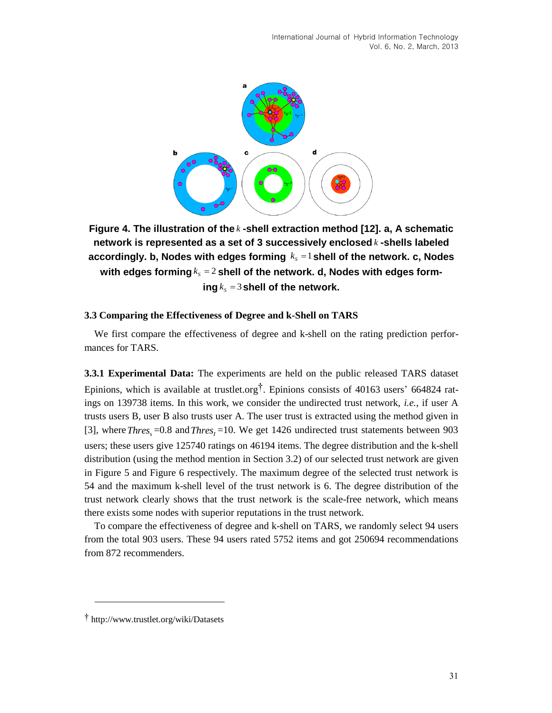

**Figure 4. The illustration of the** *k* **-shell extraction method [12]. a, A schematic network is represented as a set of 3 successively enclosed** *k* **-shells labeled**  accordingly. **b, Nodes with edges forming**  $k_s = 1$  **shell of the network. c, Nodes** with edges forming $k_{\scriptscriptstyle S}$  =  $2$  shell of the network. d, Nodes with edges form- $\log k_s = 3$  shell of the network.

#### **3.3 Comparing the Effectiveness of Degree and k-Shell on TARS**

We first compare the effectiveness of degree and k-shell on the rating prediction performances for TARS.

**3.3.1 Experimental Data:** The experiments are held on the public released TARS dataset Epinions, which is available at trustlet.org†. Epinions consists of 40163 users' 664824 ratings on 139738 items. In this work, we consider the undirected trust network, *i.e.*, if user A trusts users B, user B also trusts user A. The user trust is extracted using the method given in [3], where  $Thres<sub>s</sub> = 0.8$  and  $Thres<sub>I</sub> = 10$ . We get 1426 undirected trust statements between 903 users; these users give 125740 ratings on 46194 items. The degree distribution and the k-shell distribution (using the method mention in Section 3.2) of our selected trust network are given in Figure 5 and Figure 6 respectively. The maximum degree of the selected trust network is 54 and the maximum k-shell level of the trust network is 6. The degree distribution of the trust network clearly shows that the trust network is the scale-free network, which means there exists some nodes with superior reputations in the trust network.

To compare the effectiveness of degree and k-shell on TARS, we randomly select 94 users from the total 903 users. These 94 users rated 5752 items and got 250694 recommendations from 872 recommenders.

l

<sup>†</sup> http://www.trustlet.org/wiki/Datasets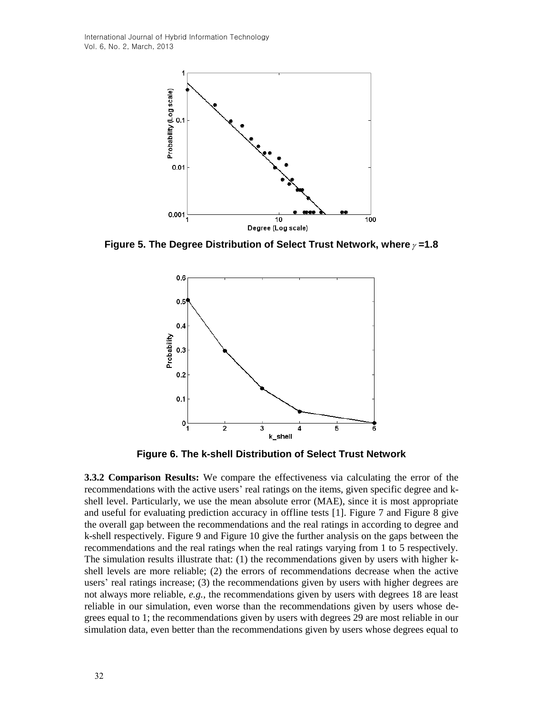International Journal of Hybrid Information Technology Vol. 6, No. 2, March, 2013



**Figure 5. The Degree Distribution of Select Trust Network, where =1.8**



**Figure 6. The k-shell Distribution of Select Trust Network**

**3.3.2 Comparison Results:** We compare the effectiveness via calculating the error of the recommendations with the active users' real ratings on the items, given specific degree and kshell level. Particularly, we use the mean absolute error (MAE), since it is most appropriate and useful for evaluating prediction accuracy in offline tests [1]. Figure 7 and Figure 8 give the overall gap between the recommendations and the real ratings in according to degree and k-shell respectively. Figure 9 and Figure 10 give the further analysis on the gaps between the recommendations and the real ratings when the real ratings varying from 1 to 5 respectively. The simulation results illustrate that: (1) the recommendations given by users with higher kshell levels are more reliable; (2) the errors of recommendations decrease when the active users' real ratings increase; (3) the recommendations given by users with higher degrees are not always more reliable, *e.g.*, the recommendations given by users with degrees 18 are least reliable in our simulation, even worse than the recommendations given by users whose degrees equal to 1; the recommendations given by users with degrees 29 are most reliable in our simulation data, even better than the recommendations given by users whose degrees equal to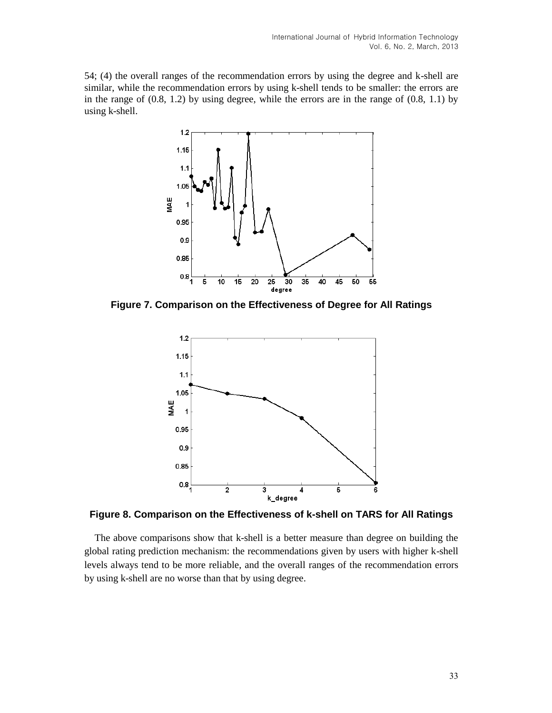54; (4) the overall ranges of the recommendation errors by using the degree and k-shell are similar, while the recommendation errors by using k-shell tends to be smaller: the errors are in the range of (0.8, 1.2) by using degree, while the errors are in the range of (0.8, 1.1) by using k-shell.



**Figure 7. Comparison on the Effectiveness of Degree for All Ratings**



**Figure 8. Comparison on the Effectiveness of k-shell on TARS for All Ratings**

The above comparisons show that k-shell is a better measure than degree on building the global rating prediction mechanism: the recommendations given by users with higher k-shell levels always tend to be more reliable, and the overall ranges of the recommendation errors by using k-shell are no worse than that by using degree.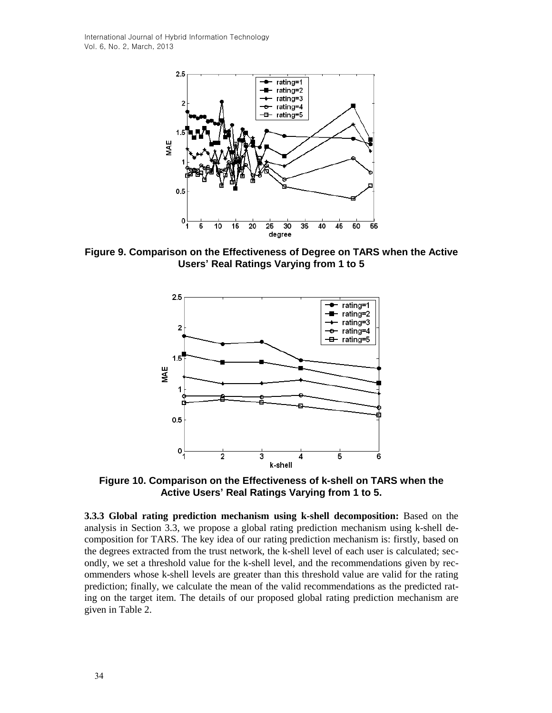International Journal of Hybrid Information Technology Vol. 6, No. 2, March, 2013



**Figure 9. Comparison on the Effectiveness of Degree on TARS when the Active Users' Real Ratings Varying from 1 to 5**



**Figure 10. Comparison on the Effectiveness of k-shell on TARS when the Active Users' Real Ratings Varying from 1 to 5.**

**3.3.3 Global rating prediction mechanism using k-shell decomposition:** Based on the analysis in Section 3.3, we propose a global rating prediction mechanism using k-shell decomposition for TARS. The key idea of our rating prediction mechanism is: firstly, based on the degrees extracted from the trust network, the k-shell level of each user is calculated; secondly, we set a threshold value for the k-shell level, and the recommendations given by recommenders whose k-shell levels are greater than this threshold value are valid for the rating prediction; finally, we calculate the mean of the valid recommendations as the predicted rating on the target item. The details of our proposed global rating prediction mechanism are given in Table 2.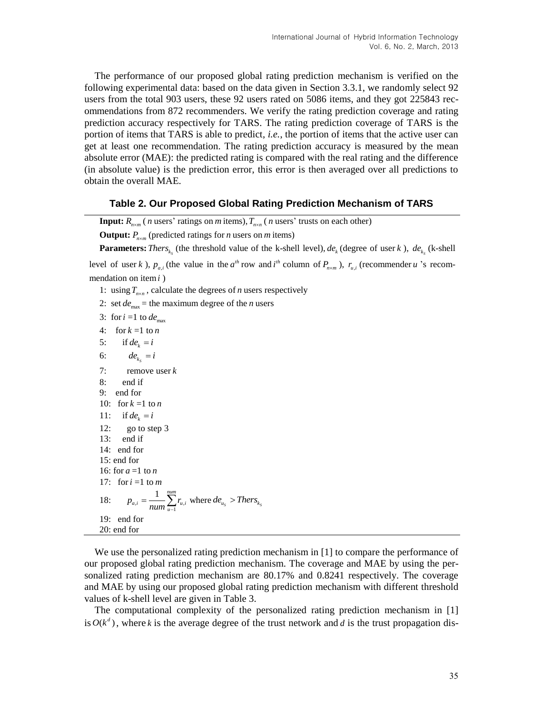The performance of our proposed global rating prediction mechanism is verified on the following experimental data: based on the data given in Section 3.3.1, we randomly select 92 users from the total 903 users, these 92 users rated on 5086 items, and they got 225843 recommendations from 872 recommenders. We verify the rating prediction coverage and rating prediction accuracy respectively for TARS. The rating prediction coverage of TARS is the portion of items that TARS is able to predict, *i.e.*, the portion of items that the active user can get at least one recommendation. The rating prediction accuracy is measured by the mean absolute error (MAE): the predicted rating is compared with the real rating and the difference (in absolute value) is the prediction error, this error is then averaged over all predictions to obtain the overall MAE.

#### **Table 2. Our Proposed Global Rating Prediction Mechanism of TARS**

**Input:**  $R_{n \times m}$  (*n* users' ratings on *m* items),  $T_{n \times n}$  (*n* users' trusts on each other)

**Output:**  $P_{n \times m}$  (predicted ratings for *n* users on *m* items)

**Parameters:** *Thers*<sub>*k<sub>s</sub>*</sub> (the threshold value of the k-shell level),  $de_k$  (degree of user *k*),  $de_{k_s}$  (k-shell

level of user *k*),  $p_{a,i}$  (the value in the  $a^{th}$  row and  $i^{th}$  column of  $P_{n \times m}$ ),  $r_{u,i}$  (recommender *u* 's recommendation on item *i* )

- 1: using  $T_{n \times n}$ , calculate the degrees of *n* users respectively
- 2: set  $de_{\text{max}}$  = the maximum degree of the *n* users
- 3: for  $i = 1$  to  $de_{\text{max}}$
- 4: for  $k=1$  to *n*
- $5:$  $if de_i = i$
- 6:  $de_{k_s} = i$ 7: remove user *k* 8: end if 9: end for 10: for  $k = 1$  to *n* 11: if  $de_k = i$ 12: go to step 3 13: end if 14: end for 15: end for 16: for *a* =1 to *n* 17: for  $i = 1$  to *m* 18:  $n_{u} = \frac{1}{\text{num}} \sum_{u=1}^{n} t_{u}$ 1 *num*  $a_{i}$ <sup> $\sum_{u}$ </sup> $\sum_{u}$  $\sum_{u}$  $p_{q,i} = \frac{1}{r} \sum r_i$  $=\frac{1}{num}\sum_{u=1}^{n} r_{u,i}$  where  $de_{u_s} > Thers_{k_s}$ 19: end for 20: end for

We use the personalized rating prediction mechanism in [1] to compare the performance of our proposed global rating prediction mechanism. The coverage and MAE by using the personalized rating prediction mechanism are 80.17% and 0.8241 respectively. The coverage and MAE by using our proposed global rating prediction mechanism with different threshold values of k-shell level are given in Table 3.

The computational complexity of the personalized rating prediction mechanism in [1] is  $O(k^d)$ , where k is the average degree of the trust network and d is the trust propagation dis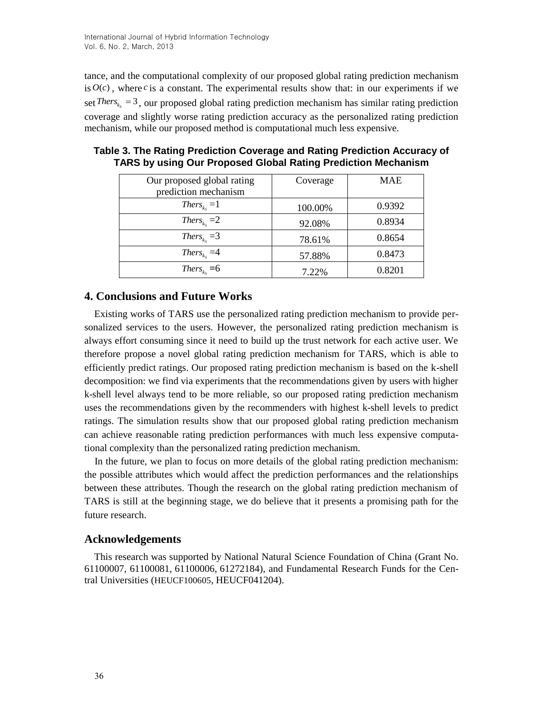tance, and the computational complexity of our proposed global rating prediction mechanism is  $O(c)$ , where *c* is a constant. The experimental results show that: in our experiments if we set Thers<sub> $k_s$ </sub> = 3, our proposed global rating prediction mechanism has similar rating prediction coverage and slightly worse rating prediction accuracy as the personalized rating prediction mechanism, while our proposed method is computational much less expensive.

| Our proposed global rating            | Coverage | <b>MAE</b> |  |
|---------------------------------------|----------|------------|--|
| prediction mechanism                  |          |            |  |
| $Thers_{k_s} = 1$                     | 100.00%  | 0.9392     |  |
| $Thers_{k_s} = 2$                     | 92.08%   | 0.8934     |  |
| Thers <sub><math>k_s</math></sub> = 3 | 78.61%   | 0.8654     |  |
| Thers <sub><math>k_s</math></sub> = 4 | 57.88%   | 0.8473     |  |
| Thers <sub><math>k_s</math></sub> = 6 | 7.22%    | 0.8201     |  |

**Table 3. The Rating Prediction Coverage and Rating Prediction Accuracy of TARS by using Our Proposed Global Rating Prediction Mechanism**

## **4. Conclusions and Future Works**

Existing works of TARS use the personalized rating prediction mechanism to provide personalized services to the users. However, the personalized rating prediction mechanism is always effort consuming since it need to build up the trust network for each active user. We therefore propose a novel global rating prediction mechanism for TARS, which is able to efficiently predict ratings. Our proposed rating prediction mechanism is based on the k-shell decomposition: we find via experiments that the recommendations given by users with higher k-shell level always tend to be more reliable, so our proposed rating prediction mechanism uses the recommendations given by the recommenders with highest k-shell levels to predict ratings. The simulation results show that our proposed global rating prediction mechanism can achieve reasonable rating prediction performances with much less expensive computational complexity than the personalized rating prediction mechanism.

In the future, we plan to focus on more details of the global rating prediction mechanism: the possible attributes which would affect the prediction performances and the relationships between these attributes. Though the research on the global rating prediction mechanism of TARS is still at the beginning stage, we do believe that it presents a promising path for the future research.

## **Acknowledgements**

This research was supported by National Natural Science Foundation of China (Grant No. 61100007, 61100081, 61100006, 61272184), and Fundamental Research Funds for the Central Universities (HEUCF100605, HEUCF041204).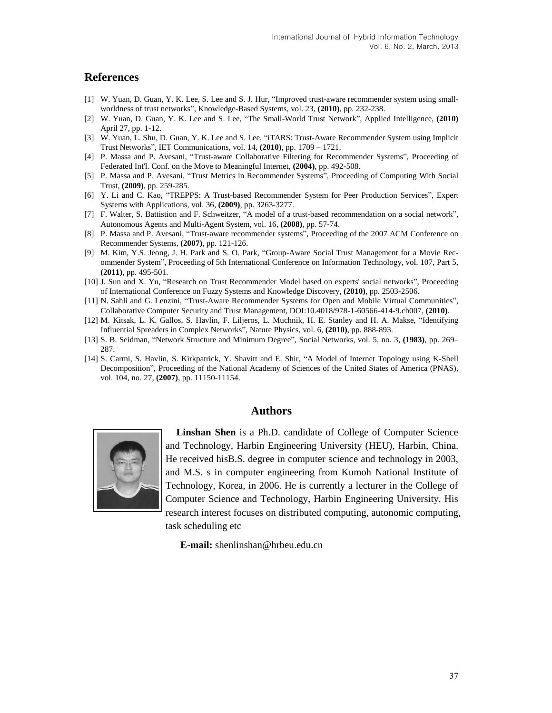### **References**

- [1] W. Yuan, D. Guan, Y. K. Lee, S. Lee and S. J. Hur, "Improved trust-aware recommender system using smallworldness of trust networks", Knowledge-Based Systems, vol. 23, **(2010)**, pp. 232-238.
- [2] W. Yuan, D. Guan, Y. K. Lee and S. Lee, "The Small-World Trust Network", Applied Intelligence, **(2010)** April 27, pp. 1-12.
- [3] W. Yuan, L. Shu, D. Guan, Y. K. Lee and S. Lee, "iTARS: Trust-Aware Recommender System using Implicit Trust Networks", IET Communications, vol. 14, **(2010)**, pp. 1709 – 1721.
- [4] P. Massa and P. Avesani, "Trust-aware Collaborative Filtering for Recommender Systems", Proceeding of Federated Int'l. Conf. on the Move to Meaningful Internet, **(2004)**, pp. 492-508.
- [5] P. Massa and P. Avesani, "Trust Metrics in Recommender Systems", Proceeding of Computing With Social Trust, **(2009)**, pp. 259-285.
- [6] Y. Li and C. Kao, "TREPPS: A Trust-based Recommender System for Peer Production Services", Expert Systems with Applications, vol. 36, **(2009)**, pp. 3263-3277.
- [7] F. Walter, S. Battistion and F. Schweitzer, "A model of a trust-based recommendation on a social network", Autonomous Agents and Multi-Agent System, vol. 16, **(2008)**, pp. 57-74.
- [8] P. Massa and P. Avesani, "Trust-aware recommender systems", Proceeding of the 2007 ACM Conference on Recommender Systems, **(2007)**, pp. 121-126.
- [9] M. Kim, Y.S. Jeong, J. H. Park and S. O. Park, "Group-Aware Social Trust Management for a Movie Recommender System", Proceeding of 5th International Conference on Information Technology, vol. 107, Part 5, **(2011)**, pp. 495-501.
- [10] J. Sun and X. Yu, "Research on Trust Recommender Model based on experts' social networks", Proceeding of International Conference on Fuzzy Systems and Knowledge Discovery, **(2010)**, pp. 2503-2506.
- [11] N. Sahli and G. Lenzini, "Trust-Aware Recommender Systems for Open and Mobile Virtual Communities", Collaborative Computer Security and Trust Management, DOI:10.4018/978-1-60566-414-9.ch007, **(2010)**.
- [12] M. Kitsak, L. K. Gallos, S. Havlin, F. Liljeros, L. Muchnik, H. E. Stanley and H. A. Makse, "Identifying Influential Spreaders in Complex Networks", Nature Physics, vol. 6, **(2010)**, pp. 888-893.
- [13] S. B. Seidman, "Network Structure and Minimum Degree", Social Networks, vol. 5, no. 3, **(1983)**, pp. 269– 287.
- [14] S. Carmi, S. Havlin, S. Kirkpatrick, Y. Shavitt and E. Shir, "A Model of Internet Topology using K-Shell Decomposition", Proceeding of the National Academy of Sciences of the United States of America (PNAS), vol. 104, no. 27, **(2007)**, pp. 11150-11154.

### **Authors**



**Linshan Shen** is a Ph.D. candidate of College of Computer Science and Technology, Harbin Engineering University (HEU), Harbin, China. He received hisB.S. degree in computer science and technology in 2003, and M.S. s in computer engineering from Kumoh National Institute of Technology, Korea, in 2006. He is currently a lecturer in the College of Computer Science and Technology, Harbin Engineering University. His research interest focuses on distributed computing, autonomic computing, task scheduling etc

**E-mail:** shenlinshan@hrbeu.edu.cn